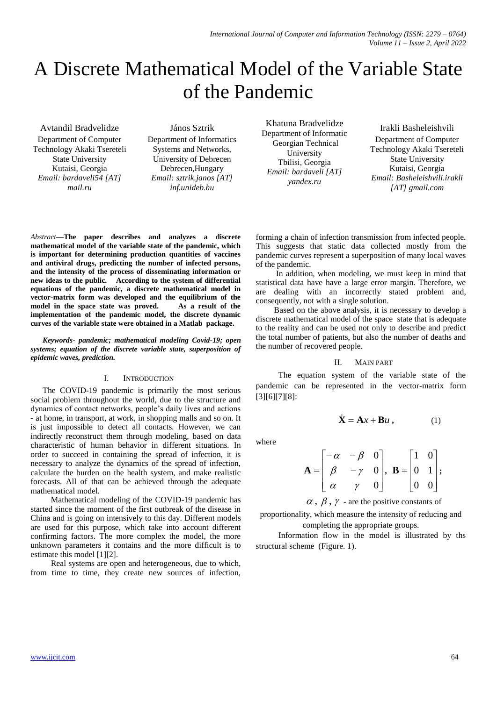# A Discrete Mathematical Model of the Variable State of the Pandemic

Avtandil Bradvelidze Department of Computer Technology Akaki Tsereteli State University Kutaisi, Georgia *Email: bardaveli54 [AT] mail.ru*

János Sztrik

Department of Informatics Systems and Networks, University of Debrecen Debrecen,Hungary *Email: sztrik.janos [AT] inf.unideb.hu*

Khatuna Bradvelidze Department of Informatic Georgian Technical University Tbilisi, Georgia *Email: bardaveli [AT] yandex.ru*

Irakli Basheleishvili Department of Computer Technology Akaki Tsereteli State University Kutaisi, Georgia *Email: Basheleishvili.irakli [AT] gmail.com*

*Abstract***—The paper describes and analyzes a discrete mathematical model of the variable state of the pandemic, which is important for determining production quantities of vaccines and antiviral drugs, predicting the number of infected persons, and the intensity of the process of disseminating information or new ideas to the public. According to the system of differential equations of the pandemic, a discrete mathematical model in vector-matrix form was developed and the equilibrium of the model in the space state was proved.** As a result of the model in the space state was proved. **implementation of the pandemic model, the discrete dynamic curves of the variable state were obtained in a Matlab package.**

*Keywords- pandemic; mathematical modeling Covid-19; open systems; equation of the discrete variable state, superposition of epidemic waves, prediction.* 

## I. INTRODUCTION

The COVID-19 pandemic is primarily the most serious social problem throughout the world, due to the structure and dynamics of contact networks, people's daily lives and actions - at home, in transport, at work, in shopping malls and so on. It is just impossible to detect all contacts. However, we can indirectly reconstruct them through modeling, based on data characteristic of human behavior in different situations. In order to succeed in containing the spread of infection, it is necessary to analyze the dynamics of the spread of infection, calculate the burden on the health system, and make realistic forecasts. All of that can be achieved through the adequate mathematical model.

 Mathematical modeling of the COVID-19 pandemic has started since the moment of the first outbreak of the disease in China and is going on intensively to this day. Different models are used for this purpose, which take into account different confirming factors. The more complex the model, the more unknown parameters it contains and the more difficult is to estimate this model [1][2].

 Real systems are open and heterogeneous, due to which, from time to time, they create new sources of infection,

forming a chain of infection transmission from infected people. This suggests that static data collected mostly from the pandemic curves represent a superposition of many local waves of the pandemic.

 In addition, when modeling, we must keep in mind that statistical data have have a large error margin. Therefore, we are dealing with an incorrectly stated problem and, consequently, not with a single solution.

 Based on the above analysis, it is necessary to develop a discrete mathematical model of the space state that is adequate to the reality and can be used not only to describe and predict the total number of patients, but also the number of deaths and the number of recovered people.

## II. MAIN PART

The equation system of the variable state of the pandemic can be represented in the vector-matrix form [3][6][7][8]:

 $\dot{\mathbf{X}} = \mathbf{A}x + \mathbf{B}u$ 

$$
f_{\rm{max}}
$$

where

$$
\mathbf{A} = \begin{bmatrix} -\alpha & -\beta & 0 \\ \beta & -\gamma & 0 \\ \alpha & \gamma & 0 \end{bmatrix}, \ \mathbf{B} = \begin{bmatrix} 1 & 0 \\ 0 & 1 \\ 0 & 0 \end{bmatrix};
$$

 $\alpha$ ,  $\beta$ ,  $\gamma$  - are the positive constants of

proportionality, which measure the intensity of reducing and completing the appropriate groups.

Information flow in the model is illustrated by ths structural scheme (Figure. 1).

**,** (1)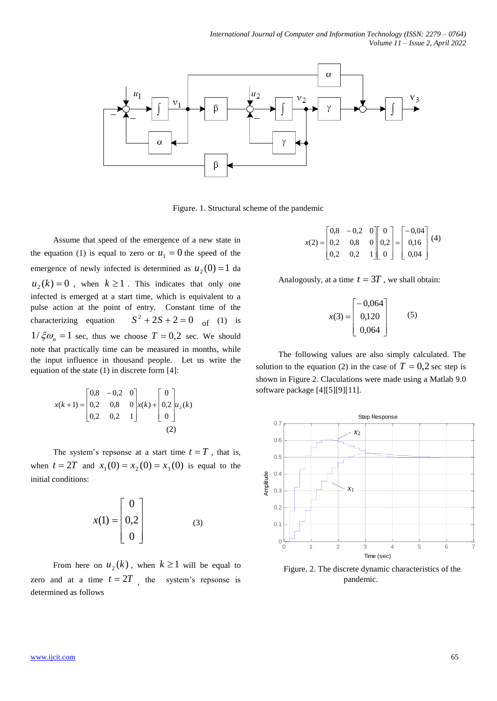

Figure. 1. Structural scheme of the pandemic

Assume that speed of the emergence of a new state in the equation (1) is equal to zero or  $u_1 = 0$  the speed of the emergence of newly infected is determined as  $u_2(0) = 1$  da  $u_2(k) = 0$ , when  $k \ge 1$ . This indicates that only one infected is emerged at a start time, which is equivalent to a pulse action at the point of entry. Constant time of the characterizing equation  $S^2 + 2S + 2 = 0$  of (1) is  $1/\xi \omega_n = 1$  sec, thus we choose  $T = 0.2$  sec. We should note that practically time can be measured in months, while the input influence in thousand people. Let us write the equation of the state (1) in discrete form [4]:

$$
x(k+1) = \begin{bmatrix} 0.8 & -0.2 & 0 \\ 0.2 & 0.8 & 0 \\ 0.2 & 0.2 & 1 \end{bmatrix} x(k) + \begin{bmatrix} 0 \\ 0.2 \\ 0 \end{bmatrix} u_2(k)
$$
  
(2)

The system's repsonse at a start time  $t = T$ , that is, when  $t = 2T$  and  $x_1(0) = x_2(0) = x_3(0)$  is equal to the initial conditions:

$$
x(1) = \begin{bmatrix} 0 \\ 0.2 \\ 0 \end{bmatrix}
$$
 (3)

From here on  $u_2(k)$ , when  $k \ge 1$  will be equal to zero and at a time  $t = 2T$ , the system's repsonse is determined as follows

$$
x(2) = \begin{bmatrix} 0.8 & -0.2 & 0 \\ 0.2 & 0.8 & 0 \\ 0.2 & 0.2 & 1 \end{bmatrix} \begin{bmatrix} 0 \\ 0.2 \\ 0 \end{bmatrix} = \begin{bmatrix} -0.04 \\ 0.16 \\ 0.04 \end{bmatrix} (4)
$$

Analogously, at a time  $t = 3T$ , we shall obtain:

$$
x(3) = \begin{bmatrix} -0.064 \\ 0.120 \\ 0.064 \end{bmatrix}
$$
 (5)

The following values are also simply calculated. The solution to the equation (2) in the case of  $T = 0.2$  sec step is shown in Figure 2. Claculations were made using a Matlab 9.0 software package [4][5][9][11].



Figure. 2. The discrete dynamic characteristics of the pandemic.